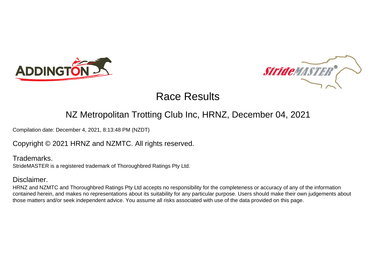



# Race Results

## NZ Metropolitan Trotting Club Inc, HRNZ, December 04, 2021

Compilation date: December 4, 2021, 8:13:48 PM (NZDT)

Copyright © 2021 HRNZ and NZMTC. All rights reserved.

Trademarks. StrideMASTER is a registered trademark of Thoroughbred Ratings Pty Ltd.

#### Disclaimer.

HRNZ and NZMTC and Thoroughbred Ratings Pty Ltd accepts no responsibility for the completeness or accuracy of any of the information contained herein, and makes no representations about its suitability for any particular purpose. Users should make their own judgements about those matters and/or seek independent advice. You assume all risks associated with use of the data provided on this page.